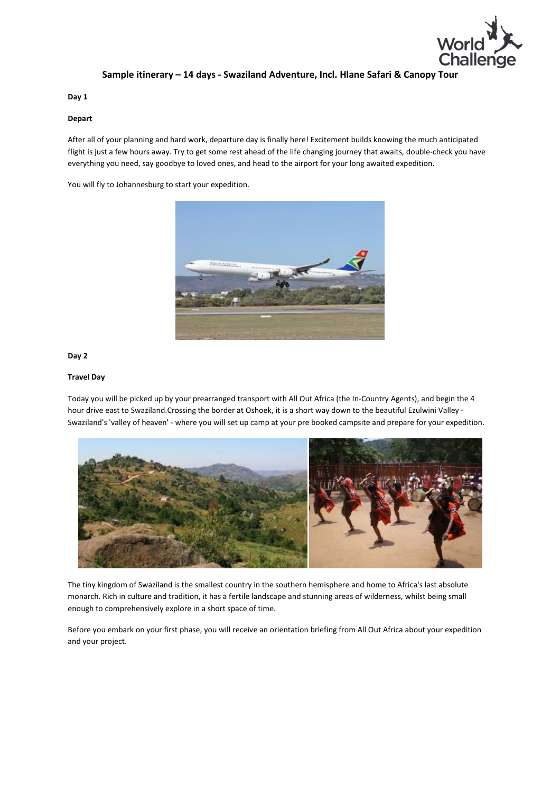

# Sample itinerary – 14 days - Swaziland Adventure, Incl. Hlane Safari & Canopy Tour

Day 1

# Depart

After all of your planning and hard work, departure day is finally here! Excitement builds knowing the much anticipated flight is just a few hours away. Try to get some rest ahead of the life changing journey that awaits, double-check you have everything you need, say goodbye to loved ones, and head to the airport for your long awaited expedition.

You will fly to Johannesburg to start your expedition.



# Day 2

## Travel Day

Today you will be picked up by your prearranged transport with All Out Africa (the In-Country Agents), and begin the 4 hour drive east to Swaziland.Crossing the border at Oshoek, it is a short way down to the beautiful Ezulwini Valley - Swaziland's 'valley of heaven' - where you will set up camp at your pre booked campsite and prepare for your expedition.



The tiny kingdom of Swaziland is the smallest country in the southern hemisphere and home to Africa's last absolute monarch. Rich in culture and tradition, it has a fertile landscape and stunning areas of wilderness, whilst being small enough to comprehensively explore in a short space of time.

Before you embark on your first phase, you will receive an orientation briefing from All Out Africa about your expedition and your project.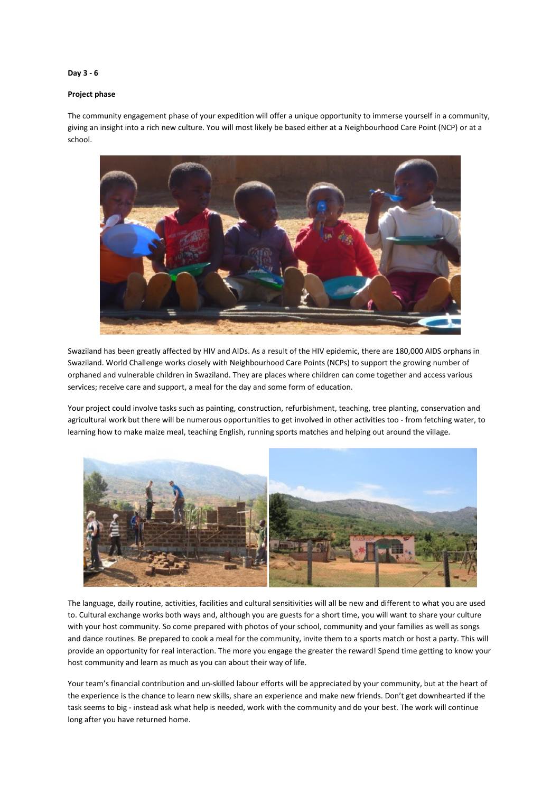# Day 3 - 6

### Project phase

The community engagement phase of your expedition will offer a unique opportunity to immerse yourself in a community, giving an insight into a rich new culture. You will most likely be based either at a Neighbourhood Care Point (NCP) or at a school.



Swaziland has been greatly affected by HIV and AIDs. As a result of the HIV epidemic, there are 180,000 AIDS orphans in Swaziland. World Challenge works closely with Neighbourhood Care Points (NCPs) to support the growing number of orphaned and vulnerable children in Swaziland. They are places where children can come together and access various services; receive care and support, a meal for the day and some form of education.

Your project could involve tasks such as painting, construction, refurbishment, teaching, tree planting, conservation and agricultural work but there will be numerous opportunities to get involved in other activities too - from fetching water, to learning how to make maize meal, teaching English, running sports matches and helping out around the village.



The language, daily routine, activities, facilities and cultural sensitivities will all be new and different to what you are used to. Cultural exchange works both ways and, although you are guests for a short time, you will want to share your culture with your host community. So come prepared with photos of your school, community and your families as well as songs and dance routines. Be prepared to cook a meal for the community, invite them to a sports match or host a party. This will provide an opportunity for real interaction. The more you engage the greater the reward! Spend time getting to know your host community and learn as much as you can about their way of life.

Your team's financial contribution and un-skilled labour efforts will be appreciated by your community, but at the heart of the experience is the chance to learn new skills, share an experience and make new friends. Don't get downhearted if the task seems to big - instead ask what help is needed, work with the community and do your best. The work will continue long after you have returned home.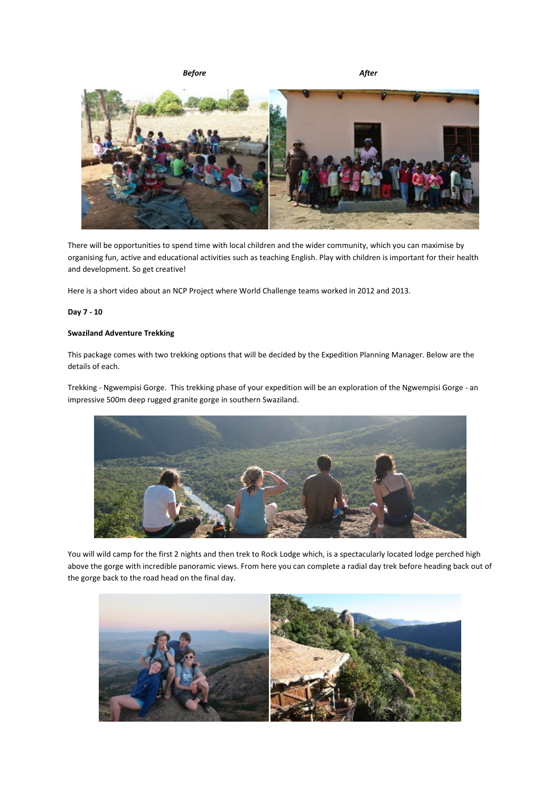Before **After** 



There will be opportunities to spend time with local children and the wider community, which you can maximise by organising fun, active and educational activities such as teaching English. Play with children is important for their health and development. So get creative!

Here is a short video about an NCP Project where World Challenge teams worked in 2012 and 2013.

# Day 7 - 10

### Swaziland Adventure Trekking

This package comes with two trekking options that will be decided by the Expedition Planning Manager. Below are the details of each.

Trekking - Ngwempisi Gorge. This trekking phase of your expedition will be an exploration of the Ngwempisi Gorge - an impressive 500m deep rugged granite gorge in southern Swaziland.



You will wild camp for the first 2 nights and then trek to Rock Lodge which, is a spectacularly located lodge perched high above the gorge with incredible panoramic views. From here you can complete a radial day trek before heading back out of the gorge back to the road head on the final day.

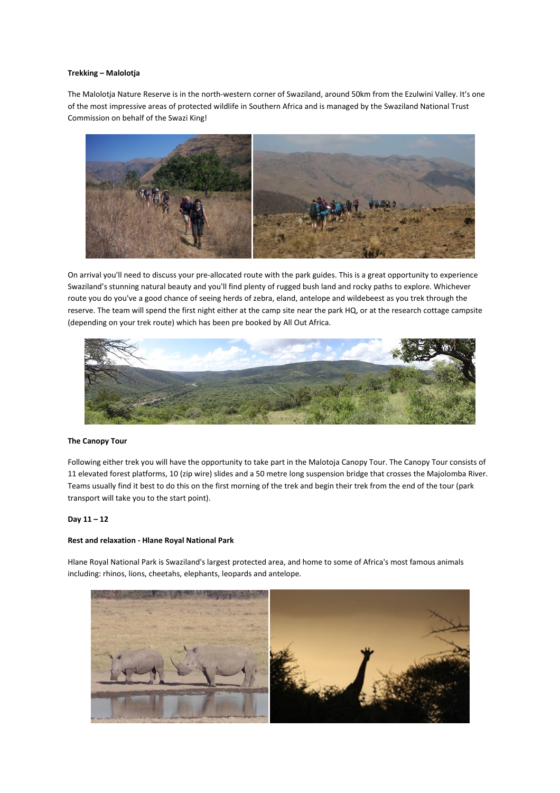#### Trekking – Malolotja

The Malolotja Nature Reserve is in the north-western corner of Swaziland, around 50km from the Ezulwini Valley. It's one of the most impressive areas of protected wildlife in Southern Africa and is managed by the Swaziland National Trust Commission on behalf of the Swazi King!



On arrival you'll need to discuss your pre-allocated route with the park guides. This is a great opportunity to experience Swaziland's stunning natural beauty and you'll find plenty of rugged bush land and rocky paths to explore. Whichever route you do you've a good chance of seeing herds of zebra, eland, antelope and wildebeest as you trek through the reserve. The team will spend the first night either at the camp site near the park HQ, or at the research cottage campsite (depending on your trek route) which has been pre booked by All Out Africa.



### The Canopy Tour

Following either trek you will have the opportunity to take part in the Malotoja Canopy Tour. The Canopy Tour consists of 11 elevated forest platforms, 10 (zip wire) slides and a 50 metre long suspension bridge that crosses the Majolomba River. Teams usually find it best to do this on the first morning of the trek and begin their trek from the end of the tour (park transport will take you to the start point).

#### Day 11 – 12

### Rest and relaxation - Hlane Royal National Park

Hlane Royal National Park is Swaziland's largest protected area, and home to some of Africa's most famous animals including: rhinos, lions, cheetahs, elephants, leopards and antelope.

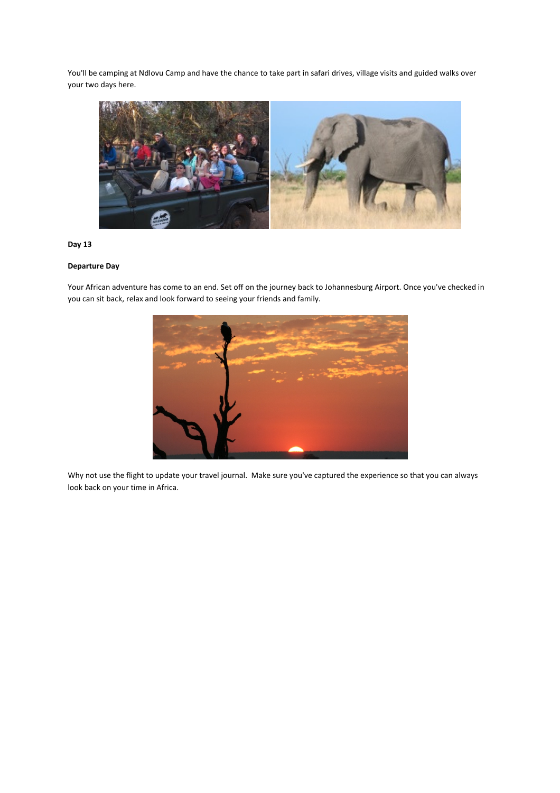You'll be camping at Ndlovu Camp and have the chance to take part in safari drives, village visits and guided walks over your two days here.



# Day 13

# Departure Day

Your African adventure has come to an end. Set off on the journey back to Johannesburg Airport. Once you've checked in you can sit back, relax and look forward to seeing your friends and family.



Why not use the flight to update your travel journal. Make sure you've captured the experience so that you can always look back on your time in Africa.